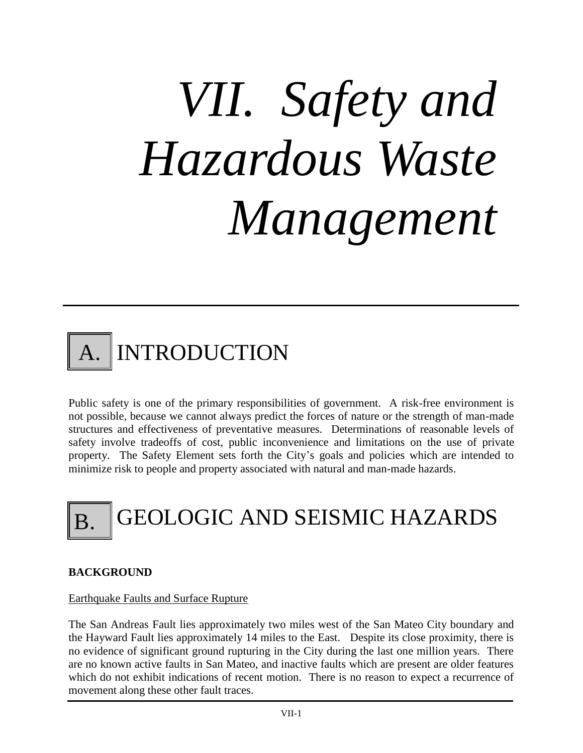# *VII. Safety and Hazardous Waste Management*



Public safety is one of the primary responsibilities of government. A risk-free environment is not possible, because we cannot always predict the forces of nature or the strength of man-made structures and effectiveness of preventative measures. Determinations of reasonable levels of safety involve tradeoffs of cost, public inconvenience and limitations on the use of private property. The Safety Element sets forth the City's goals and policies which are intended to minimize risk to people and property associated with natural and man-made hazards.

# B. GEOLOGIC AND SEISMIC HAZARDS

# **BACKGROUND**

#### Earthquake Faults and Surface Rupture

The San Andreas Fault lies approximately two miles west of the San Mateo City boundary and the Hayward Fault lies approximately 14 miles to the East. Despite its close proximity, there is no evidence of significant ground rupturing in the City during the last one million years. There are no known active faults in San Mateo, and inactive faults which are present are older features which do not exhibit indications of recent motion. There is no reason to expect a recurrence of movement along these other fault traces.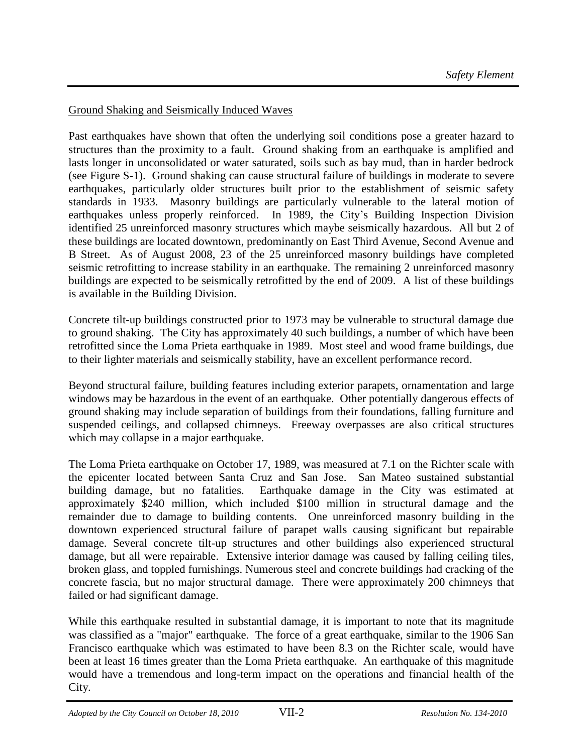## Ground Shaking and Seismically Induced Waves

Past earthquakes have shown that often the underlying soil conditions pose a greater hazard to structures than the proximity to a fault. Ground shaking from an earthquake is amplified and lasts longer in unconsolidated or water saturated, soils such as bay mud, than in harder bedrock (see Figure S-1). Ground shaking can cause structural failure of buildings in moderate to severe earthquakes, particularly older structures built prior to the establishment of seismic safety standards in 1933. Masonry buildings are particularly vulnerable to the lateral motion of earthquakes unless properly reinforced. In 1989, the City's Building Inspection Division identified 25 unreinforced masonry structures which maybe seismically hazardous. All but 2 of these buildings are located downtown, predominantly on East Third Avenue, Second Avenue and B Street. As of August 2008, 23 of the 25 unreinforced masonry buildings have completed seismic retrofitting to increase stability in an earthquake. The remaining 2 unreinforced masonry buildings are expected to be seismically retrofitted by the end of 2009. A list of these buildings is available in the Building Division.

Concrete tilt-up buildings constructed prior to 1973 may be vulnerable to structural damage due to ground shaking. The City has approximately 40 such buildings, a number of which have been retrofitted since the Loma Prieta earthquake in 1989. Most steel and wood frame buildings, due to their lighter materials and seismically stability, have an excellent performance record.

Beyond structural failure, building features including exterior parapets, ornamentation and large windows may be hazardous in the event of an earthquake. Other potentially dangerous effects of ground shaking may include separation of buildings from their foundations, falling furniture and suspended ceilings, and collapsed chimneys. Freeway overpasses are also critical structures which may collapse in a major earthquake.

The Loma Prieta earthquake on October 17, 1989, was measured at 7.1 on the Richter scale with the epicenter located between Santa Cruz and San Jose. San Mateo sustained substantial building damage, but no fatalities. Earthquake damage in the City was estimated at approximately \$240 million, which included \$100 million in structural damage and the remainder due to damage to building contents. One unreinforced masonry building in the downtown experienced structural failure of parapet walls causing significant but repairable damage. Several concrete tilt-up structures and other buildings also experienced structural damage, but all were repairable. Extensive interior damage was caused by falling ceiling tiles, broken glass, and toppled furnishings. Numerous steel and concrete buildings had cracking of the concrete fascia, but no major structural damage. There were approximately 200 chimneys that failed or had significant damage.

While this earthquake resulted in substantial damage, it is important to note that its magnitude was classified as a "major" earthquake. The force of a great earthquake, similar to the 1906 San Francisco earthquake which was estimated to have been 8.3 on the Richter scale, would have been at least 16 times greater than the Loma Prieta earthquake. An earthquake of this magnitude would have a tremendous and long-term impact on the operations and financial health of the City.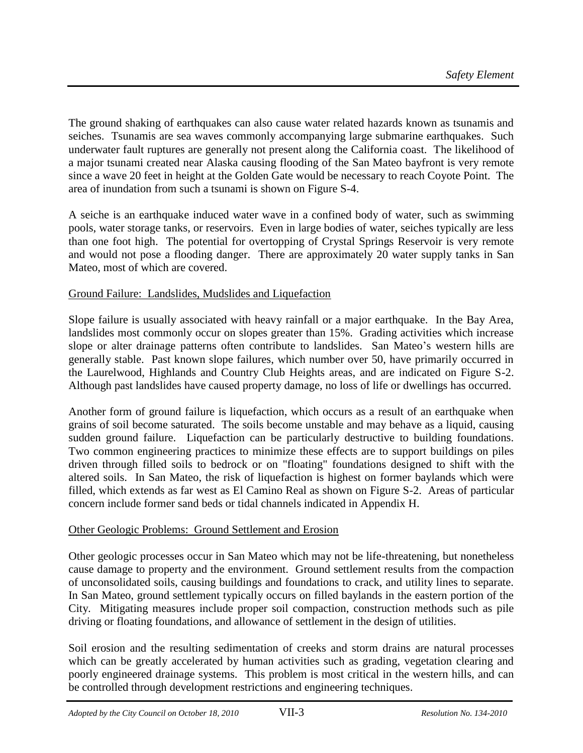The ground shaking of earthquakes can also cause water related hazards known as tsunamis and seiches. Tsunamis are sea waves commonly accompanying large submarine earthquakes. Such underwater fault ruptures are generally not present along the California coast. The likelihood of a major tsunami created near Alaska causing flooding of the San Mateo bayfront is very remote since a wave 20 feet in height at the Golden Gate would be necessary to reach Coyote Point. The area of inundation from such a tsunami is shown on Figure S-4.

A seiche is an earthquake induced water wave in a confined body of water, such as swimming pools, water storage tanks, or reservoirs. Even in large bodies of water, seiches typically are less than one foot high. The potential for overtopping of Crystal Springs Reservoir is very remote and would not pose a flooding danger. There are approximately 20 water supply tanks in San Mateo, most of which are covered.

# Ground Failure: Landslides, Mudslides and Liquefaction

Slope failure is usually associated with heavy rainfall or a major earthquake. In the Bay Area, landslides most commonly occur on slopes greater than 15%. Grading activities which increase slope or alter drainage patterns often contribute to landslides. San Mateo's western hills are generally stable. Past known slope failures, which number over 50, have primarily occurred in the Laurelwood, Highlands and Country Club Heights areas, and are indicated on Figure S-2. Although past landslides have caused property damage, no loss of life or dwellings has occurred.

Another form of ground failure is liquefaction, which occurs as a result of an earthquake when grains of soil become saturated. The soils become unstable and may behave as a liquid, causing sudden ground failure. Liquefaction can be particularly destructive to building foundations. Two common engineering practices to minimize these effects are to support buildings on piles driven through filled soils to bedrock or on "floating" foundations designed to shift with the altered soils. In San Mateo, the risk of liquefaction is highest on former baylands which were filled, which extends as far west as El Camino Real as shown on Figure S-2. Areas of particular concern include former sand beds or tidal channels indicated in Appendix H.

#### Other Geologic Problems: Ground Settlement and Erosion

Other geologic processes occur in San Mateo which may not be life-threatening, but nonetheless cause damage to property and the environment. Ground settlement results from the compaction of unconsolidated soils, causing buildings and foundations to crack, and utility lines to separate. In San Mateo, ground settlement typically occurs on filled baylands in the eastern portion of the City. Mitigating measures include proper soil compaction, construction methods such as pile driving or floating foundations, and allowance of settlement in the design of utilities.

Soil erosion and the resulting sedimentation of creeks and storm drains are natural processes which can be greatly accelerated by human activities such as grading, vegetation clearing and poorly engineered drainage systems. This problem is most critical in the western hills, and can be controlled through development restrictions and engineering techniques.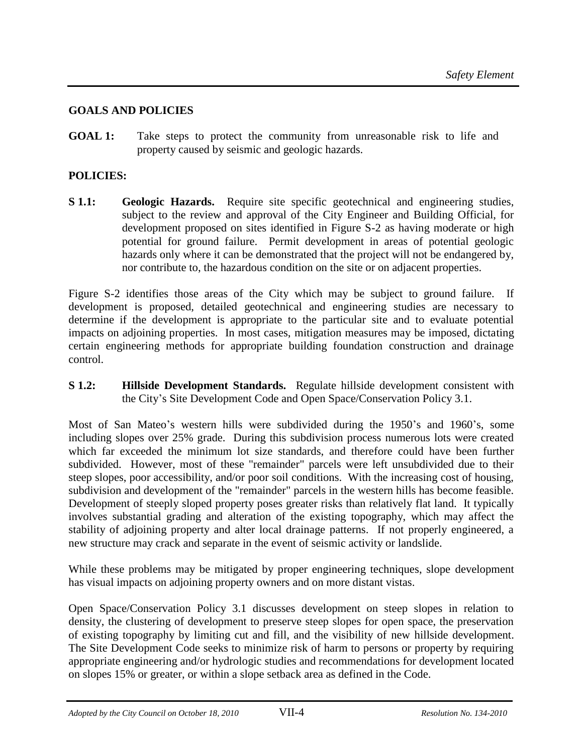## **GOALS AND POLICIES**

**GOAL 1:** Take steps to protect the community from unreasonable risk to life and property caused by seismic and geologic hazards.

## **POLICIES:**

**S 1.1: Geologic Hazards.** Require site specific geotechnical and engineering studies, subject to the review and approval of the City Engineer and Building Official, for development proposed on sites identified in Figure S-2 as having moderate or high potential for ground failure. Permit development in areas of potential geologic hazards only where it can be demonstrated that the project will not be endangered by, nor contribute to, the hazardous condition on the site or on adjacent properties.

Figure S-2 identifies those areas of the City which may be subject to ground failure. If development is proposed, detailed geotechnical and engineering studies are necessary to determine if the development is appropriate to the particular site and to evaluate potential impacts on adjoining properties. In most cases, mitigation measures may be imposed, dictating certain engineering methods for appropriate building foundation construction and drainage control.

**S 1.2: Hillside Development Standards.** Regulate hillside development consistent with the City's Site Development Code and Open Space/Conservation Policy 3.1.

Most of San Mateo's western hills were subdivided during the 1950's and 1960's, some including slopes over 25% grade. During this subdivision process numerous lots were created which far exceeded the minimum lot size standards, and therefore could have been further subdivided. However, most of these "remainder" parcels were left unsubdivided due to their steep slopes, poor accessibility, and/or poor soil conditions. With the increasing cost of housing, subdivision and development of the "remainder" parcels in the western hills has become feasible. Development of steeply sloped property poses greater risks than relatively flat land. It typically involves substantial grading and alteration of the existing topography, which may affect the stability of adjoining property and alter local drainage patterns. If not properly engineered, a new structure may crack and separate in the event of seismic activity or landslide.

While these problems may be mitigated by proper engineering techniques, slope development has visual impacts on adjoining property owners and on more distant vistas.

Open Space/Conservation Policy 3.1 discusses development on steep slopes in relation to density, the clustering of development to preserve steep slopes for open space, the preservation of existing topography by limiting cut and fill, and the visibility of new hillside development. The Site Development Code seeks to minimize risk of harm to persons or property by requiring appropriate engineering and/or hydrologic studies and recommendations for development located on slopes 15% or greater, or within a slope setback area as defined in the Code.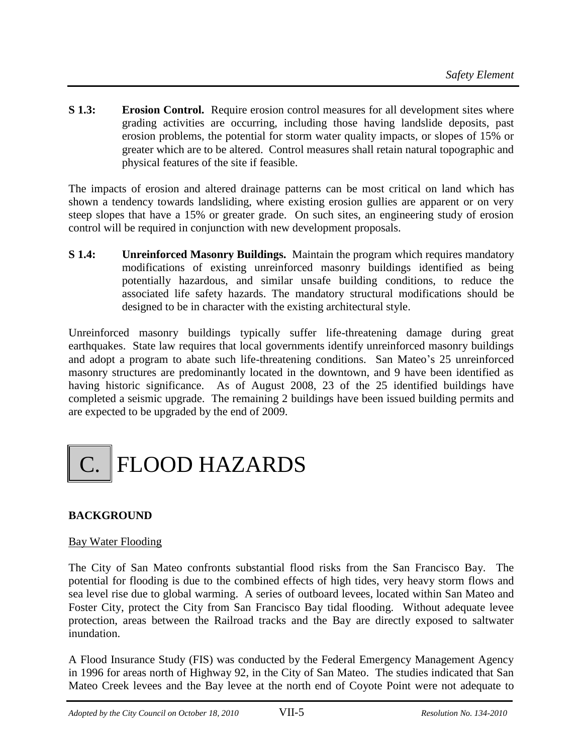**S 1.3: Erosion Control.** Require erosion control measures for all development sites where grading activities are occurring, including those having landslide deposits, past erosion problems, the potential for storm water quality impacts, or slopes of 15% or greater which are to be altered. Control measures shall retain natural topographic and physical features of the site if feasible.

The impacts of erosion and altered drainage patterns can be most critical on land which has shown a tendency towards landsliding, where existing erosion gullies are apparent or on very steep slopes that have a 15% or greater grade. On such sites, an engineering study of erosion control will be required in conjunction with new development proposals.

**S 1.4: Unreinforced Masonry Buildings.** Maintain the program which requires mandatory modifications of existing unreinforced masonry buildings identified as being potentially hazardous, and similar unsafe building conditions, to reduce the associated life safety hazards. The mandatory structural modifications should be designed to be in character with the existing architectural style.

Unreinforced masonry buildings typically suffer life-threatening damage during great earthquakes. State law requires that local governments identify unreinforced masonry buildings and adopt a program to abate such life-threatening conditions. San Mateo's 25 unreinforced masonry structures are predominantly located in the downtown, and 9 have been identified as having historic significance. As of August 2008, 23 of the 25 identified buildings have completed a seismic upgrade. The remaining 2 buildings have been issued building permits and are expected to be upgraded by the end of 2009.



# **BACKGROUND**

#### Bay Water Flooding

The City of San Mateo confronts substantial flood risks from the San Francisco Bay. The potential for flooding is due to the combined effects of high tides, very heavy storm flows and sea level rise due to global warming. A series of outboard levees, located within San Mateo and Foster City, protect the City from San Francisco Bay tidal flooding. Without adequate levee protection, areas between the Railroad tracks and the Bay are directly exposed to saltwater inundation.

A Flood Insurance Study (FIS) was conducted by the Federal Emergency Management Agency in 1996 for areas north of Highway 92, in the City of San Mateo. The studies indicated that San Mateo Creek levees and the Bay levee at the north end of Coyote Point were not adequate to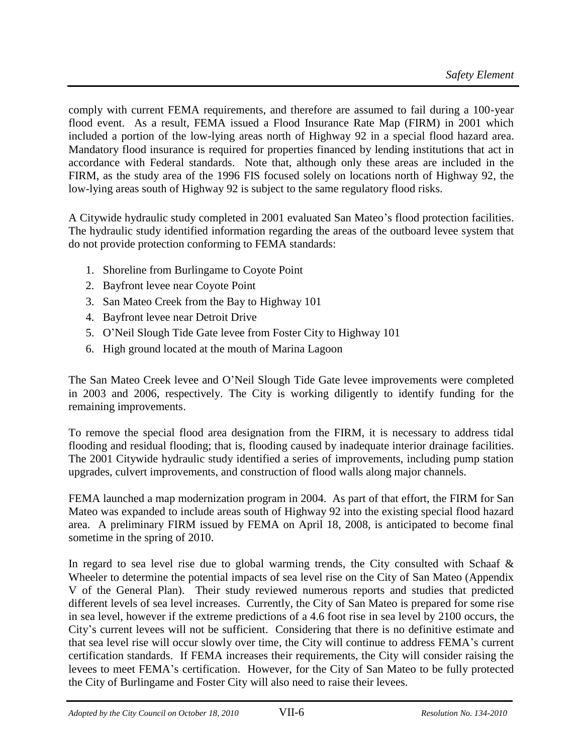comply with current FEMA requirements, and therefore are assumed to fail during a 100-year flood event. As a result, FEMA issued a Flood Insurance Rate Map (FIRM) in 2001 which included a portion of the low-lying areas north of Highway 92 in a special flood hazard area. Mandatory flood insurance is required for properties financed by lending institutions that act in accordance with Federal standards. Note that, although only these areas are included in the FIRM, as the study area of the 1996 FIS focused solely on locations north of Highway 92, the low-lying areas south of Highway 92 is subject to the same regulatory flood risks.

A Citywide hydraulic study completed in 2001 evaluated San Mateo's flood protection facilities. The hydraulic study identified information regarding the areas of the outboard levee system that do not provide protection conforming to FEMA standards:

- 1. Shoreline from Burlingame to Coyote Point
- 2. Bayfront levee near Coyote Point
- 3. San Mateo Creek from the Bay to Highway 101
- 4. Bayfront levee near Detroit Drive
- 5. O'Neil Slough Tide Gate levee from Foster City to Highway 101
- 6. High ground located at the mouth of Marina Lagoon

The San Mateo Creek levee and O'Neil Slough Tide Gate levee improvements were completed in 2003 and 2006, respectively. The City is working diligently to identify funding for the remaining improvements.

To remove the special flood area designation from the FIRM, it is necessary to address tidal flooding and residual flooding; that is, flooding caused by inadequate interior drainage facilities. The 2001 Citywide hydraulic study identified a series of improvements, including pump station upgrades, culvert improvements, and construction of flood walls along major channels.

FEMA launched a map modernization program in 2004. As part of that effort, the FIRM for San Mateo was expanded to include areas south of Highway 92 into the existing special flood hazard area. A preliminary FIRM issued by FEMA on April 18, 2008, is anticipated to become final sometime in the spring of 2010.

In regard to sea level rise due to global warming trends, the City consulted with Schaaf  $\&$ Wheeler to determine the potential impacts of sea level rise on the City of San Mateo (Appendix V of the General Plan). Their study reviewed numerous reports and studies that predicted different levels of sea level increases. Currently, the City of San Mateo is prepared for some rise in sea level, however if the extreme predictions of a 4.6 foot rise in sea level by 2100 occurs, the City's current levees will not be sufficient. Considering that there is no definitive estimate and that sea level rise will occur slowly over time, the City will continue to address FEMA's current certification standards. If FEMA increases their requirements, the City will consider raising the levees to meet FEMA's certification. However, for the City of San Mateo to be fully protected the City of Burlingame and Foster City will also need to raise their levees.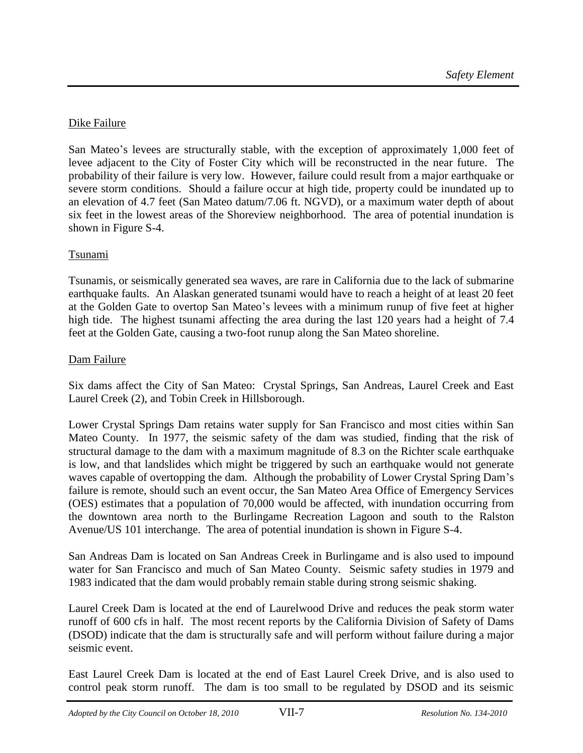# Dike Failure

San Mateo's levees are structurally stable, with the exception of approximately 1,000 feet of levee adjacent to the City of Foster City which will be reconstructed in the near future. The probability of their failure is very low. However, failure could result from a major earthquake or severe storm conditions. Should a failure occur at high tide, property could be inundated up to an elevation of 4.7 feet (San Mateo datum/7.06 ft. NGVD), or a maximum water depth of about six feet in the lowest areas of the Shoreview neighborhood. The area of potential inundation is shown in Figure S-4.

#### Tsunami

Tsunamis, or seismically generated sea waves, are rare in California due to the lack of submarine earthquake faults. An Alaskan generated tsunami would have to reach a height of at least 20 feet at the Golden Gate to overtop San Mateo's levees with a minimum runup of five feet at higher high tide. The highest tsunami affecting the area during the last 120 years had a height of 7.4 feet at the Golden Gate, causing a two-foot runup along the San Mateo shoreline.

#### Dam Failure

Six dams affect the City of San Mateo: Crystal Springs, San Andreas, Laurel Creek and East Laurel Creek (2), and Tobin Creek in Hillsborough.

Lower Crystal Springs Dam retains water supply for San Francisco and most cities within San Mateo County. In 1977, the seismic safety of the dam was studied, finding that the risk of structural damage to the dam with a maximum magnitude of 8.3 on the Richter scale earthquake is low, and that landslides which might be triggered by such an earthquake would not generate waves capable of overtopping the dam. Although the probability of Lower Crystal Spring Dam's failure is remote, should such an event occur, the San Mateo Area Office of Emergency Services (OES) estimates that a population of 70,000 would be affected, with inundation occurring from the downtown area north to the Burlingame Recreation Lagoon and south to the Ralston Avenue/US 101 interchange. The area of potential inundation is shown in Figure S-4.

San Andreas Dam is located on San Andreas Creek in Burlingame and is also used to impound water for San Francisco and much of San Mateo County. Seismic safety studies in 1979 and 1983 indicated that the dam would probably remain stable during strong seismic shaking.

Laurel Creek Dam is located at the end of Laurelwood Drive and reduces the peak storm water runoff of 600 cfs in half. The most recent reports by the California Division of Safety of Dams (DSOD) indicate that the dam is structurally safe and will perform without failure during a major seismic event.

East Laurel Creek Dam is located at the end of East Laurel Creek Drive, and is also used to control peak storm runoff. The dam is too small to be regulated by DSOD and its seismic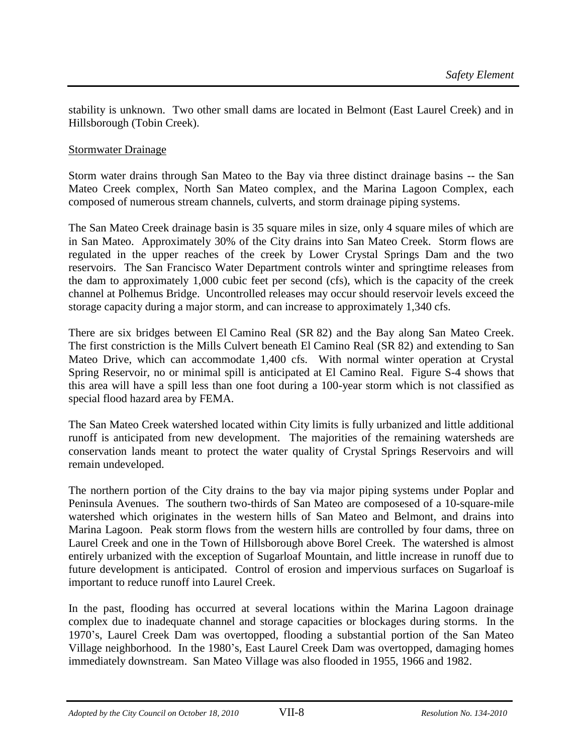stability is unknown. Two other small dams are located in Belmont (East Laurel Creek) and in Hillsborough (Tobin Creek).

#### Stormwater Drainage

Storm water drains through San Mateo to the Bay via three distinct drainage basins -- the San Mateo Creek complex, North San Mateo complex, and the Marina Lagoon Complex, each composed of numerous stream channels, culverts, and storm drainage piping systems.

The San Mateo Creek drainage basin is 35 square miles in size, only 4 square miles of which are in San Mateo. Approximately 30% of the City drains into San Mateo Creek. Storm flows are regulated in the upper reaches of the creek by Lower Crystal Springs Dam and the two reservoirs. The San Francisco Water Department controls winter and springtime releases from the dam to approximately 1,000 cubic feet per second (cfs), which is the capacity of the creek channel at Polhemus Bridge. Uncontrolled releases may occur should reservoir levels exceed the storage capacity during a major storm, and can increase to approximately 1,340 cfs.

There are six bridges between El Camino Real (SR 82) and the Bay along San Mateo Creek. The first constriction is the Mills Culvert beneath El Camino Real (SR 82) and extending to San Mateo Drive, which can accommodate 1,400 cfs. With normal winter operation at Crystal Spring Reservoir, no or minimal spill is anticipated at El Camino Real. Figure S-4 shows that this area will have a spill less than one foot during a 100-year storm which is not classified as special flood hazard area by FEMA.

The San Mateo Creek watershed located within City limits is fully urbanized and little additional runoff is anticipated from new development. The majorities of the remaining watersheds are conservation lands meant to protect the water quality of Crystal Springs Reservoirs and will remain undeveloped.

The northern portion of the City drains to the bay via major piping systems under Poplar and Peninsula Avenues. The southern two-thirds of San Mateo are composesed of a 10-square-mile watershed which originates in the western hills of San Mateo and Belmont, and drains into Marina Lagoon. Peak storm flows from the western hills are controlled by four dams, three on Laurel Creek and one in the Town of Hillsborough above Borel Creek. The watershed is almost entirely urbanized with the exception of Sugarloaf Mountain, and little increase in runoff due to future development is anticipated. Control of erosion and impervious surfaces on Sugarloaf is important to reduce runoff into Laurel Creek.

In the past, flooding has occurred at several locations within the Marina Lagoon drainage complex due to inadequate channel and storage capacities or blockages during storms. In the 1970's, Laurel Creek Dam was overtopped, flooding a substantial portion of the San Mateo Village neighborhood. In the 1980's, East Laurel Creek Dam was overtopped, damaging homes immediately downstream. San Mateo Village was also flooded in 1955, 1966 and 1982.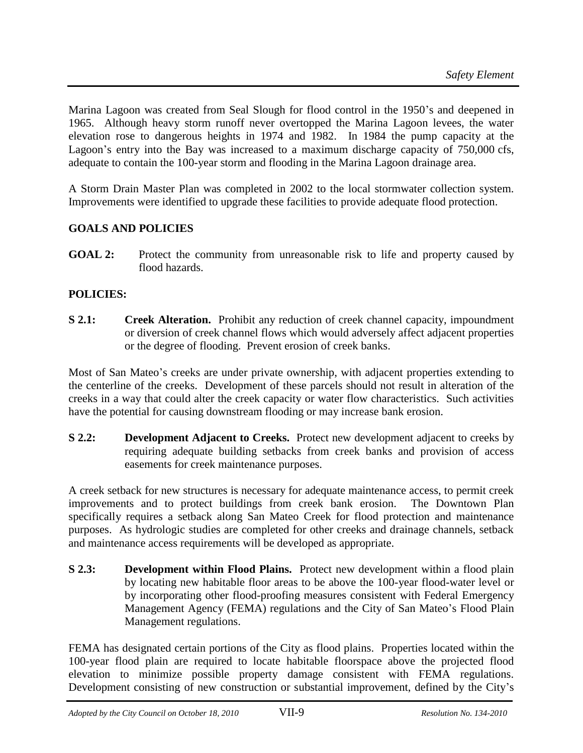Marina Lagoon was created from Seal Slough for flood control in the 1950's and deepened in 1965. Although heavy storm runoff never overtopped the Marina Lagoon levees, the water elevation rose to dangerous heights in 1974 and 1982. In 1984 the pump capacity at the Lagoon's entry into the Bay was increased to a maximum discharge capacity of 750,000 cfs, adequate to contain the 100-year storm and flooding in the Marina Lagoon drainage area.

A Storm Drain Master Plan was completed in 2002 to the local stormwater collection system. Improvements were identified to upgrade these facilities to provide adequate flood protection.

# **GOALS AND POLICIES**

**GOAL 2:** Protect the community from unreasonable risk to life and property caused by flood hazards.

# **POLICIES:**

**S 2.1: Creek Alteration.** Prohibit any reduction of creek channel capacity, impoundment or diversion of creek channel flows which would adversely affect adjacent properties or the degree of flooding. Prevent erosion of creek banks.

Most of San Mateo's creeks are under private ownership, with adjacent properties extending to the centerline of the creeks. Development of these parcels should not result in alteration of the creeks in a way that could alter the creek capacity or water flow characteristics. Such activities have the potential for causing downstream flooding or may increase bank erosion.

**S 2.2: Development Adjacent to Creeks.** Protect new development adjacent to creeks by requiring adequate building setbacks from creek banks and provision of access easements for creek maintenance purposes.

A creek setback for new structures is necessary for adequate maintenance access, to permit creek improvements and to protect buildings from creek bank erosion. The Downtown Plan specifically requires a setback along San Mateo Creek for flood protection and maintenance purposes. As hydrologic studies are completed for other creeks and drainage channels, setback and maintenance access requirements will be developed as appropriate.

**S 2.3: Development within Flood Plains.** Protect new development within a flood plain by locating new habitable floor areas to be above the 100-year flood-water level or by incorporating other flood-proofing measures consistent with Federal Emergency Management Agency (FEMA) regulations and the City of San Mateo's Flood Plain Management regulations.

FEMA has designated certain portions of the City as flood plains. Properties located within the 100-year flood plain are required to locate habitable floorspace above the projected flood elevation to minimize possible property damage consistent with FEMA regulations. Development consisting of new construction or substantial improvement, defined by the City's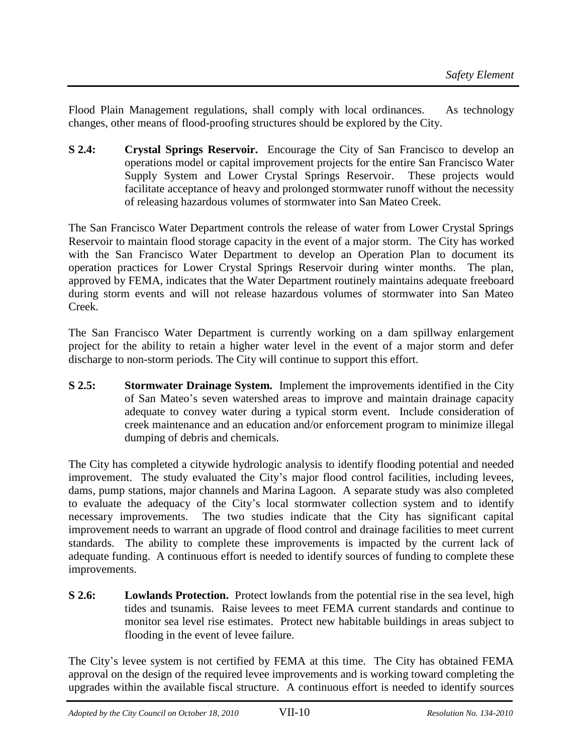Flood Plain Management regulations, shall comply with local ordinances. As technology changes, other means of flood-proofing structures should be explored by the City.

**S 2.4: Crystal Springs Reservoir.** Encourage the City of San Francisco to develop an operations model or capital improvement projects for the entire San Francisco Water Supply System and Lower Crystal Springs Reservoir. These projects would facilitate acceptance of heavy and prolonged stormwater runoff without the necessity of releasing hazardous volumes of stormwater into San Mateo Creek.

The San Francisco Water Department controls the release of water from Lower Crystal Springs Reservoir to maintain flood storage capacity in the event of a major storm. The City has worked with the San Francisco Water Department to develop an Operation Plan to document its operation practices for Lower Crystal Springs Reservoir during winter months. The plan, approved by FEMA, indicates that the Water Department routinely maintains adequate freeboard during storm events and will not release hazardous volumes of stormwater into San Mateo Creek.

The San Francisco Water Department is currently working on a dam spillway enlargement project for the ability to retain a higher water level in the event of a major storm and defer discharge to non-storm periods. The City will continue to support this effort.

**S 2.5: Stormwater Drainage System.** Implement the improvements identified in the City of San Mateo's seven watershed areas to improve and maintain drainage capacity adequate to convey water during a typical storm event. Include consideration of creek maintenance and an education and/or enforcement program to minimize illegal dumping of debris and chemicals.

The City has completed a citywide hydrologic analysis to identify flooding potential and needed improvement. The study evaluated the City's major flood control facilities, including levees, dams, pump stations, major channels and Marina Lagoon. A separate study was also completed to evaluate the adequacy of the City's local stormwater collection system and to identify necessary improvements. The two studies indicate that the City has significant capital improvement needs to warrant an upgrade of flood control and drainage facilities to meet current standards. The ability to complete these improvements is impacted by the current lack of adequate funding. A continuous effort is needed to identify sources of funding to complete these improvements.

**S 2.6: Lowlands Protection.** Protect lowlands from the potential rise in the sea level, high tides and tsunamis. Raise levees to meet FEMA current standards and continue to monitor sea level rise estimates. Protect new habitable buildings in areas subject to flooding in the event of levee failure.

The City's levee system is not certified by FEMA at this time. The City has obtained FEMA approval on the design of the required levee improvements and is working toward completing the upgrades within the available fiscal structure. A continuous effort is needed to identify sources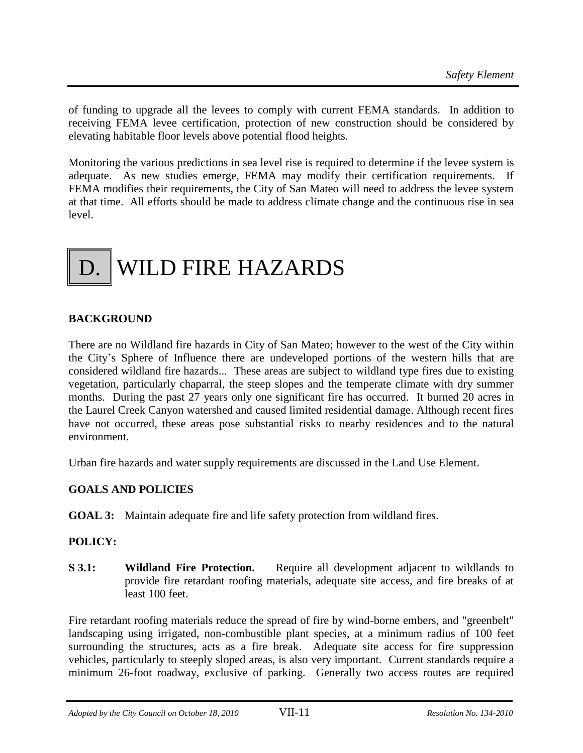of funding to upgrade all the levees to comply with current FEMA standards. In addition to receiving FEMA levee certification, protection of new construction should be considered by elevating habitable floor levels above potential flood heights.

Monitoring the various predictions in sea level rise is required to determine if the levee system is adequate. As new studies emerge, FEMA may modify their certification requirements. If FEMA modifies their requirements, the City of San Mateo will need to address the levee system at that time. All efforts should be made to address climate change and the continuous rise in sea level.

# D. WILD FIRE HAZARDS

# **BACKGROUND**

There are no Wildland fire hazards in City of San Mateo; however to the west of the City within the City's Sphere of Influence there are undeveloped portions of the western hills that are considered wildland fire hazards... These areas are subject to wildland type fires due to existing vegetation, particularly chaparral, the steep slopes and the temperate climate with dry summer months. During the past 27 years only one significant fire has occurred. It burned 20 acres in the Laurel Creek Canyon watershed and caused limited residential damage. Although recent fires have not occurred, these areas pose substantial risks to nearby residences and to the natural environment.

Urban fire hazards and water supply requirements are discussed in the Land Use Element.

#### **GOALS AND POLICIES**

**GOAL 3:** Maintain adequate fire and life safety protection from wildland fires.

#### **POLICY:**

**S 3.1: Wildland Fire Protection.** Require all development adjacent to wildlands to provide fire retardant roofing materials, adequate site access, and fire breaks of at least 100 feet.

Fire retardant roofing materials reduce the spread of fire by wind-borne embers, and "greenbelt" landscaping using irrigated, non-combustible plant species, at a minimum radius of 100 feet surrounding the structures, acts as a fire break. Adequate site access for fire suppression vehicles, particularly to steeply sloped areas, is also very important. Current standards require a minimum 26-foot roadway, exclusive of parking. Generally two access routes are required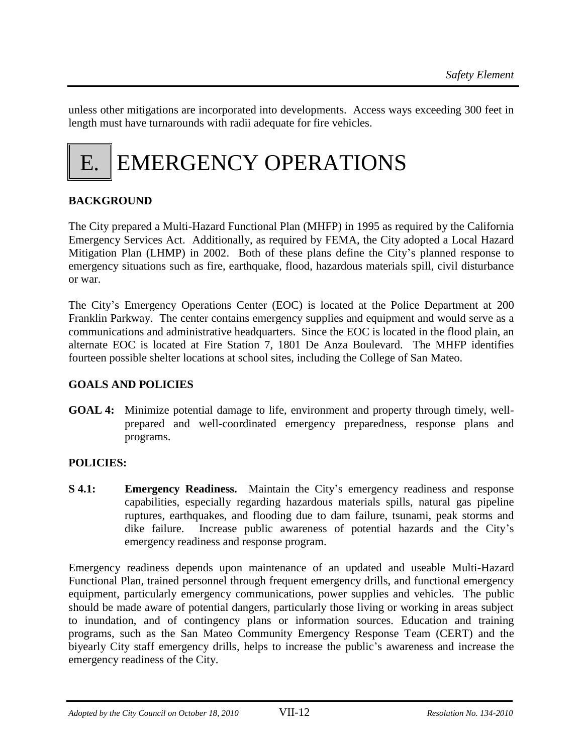unless other mitigations are incorporated into developments. Access ways exceeding 300 feet in length must have turnarounds with radii adequate for fire vehicles.



# **BACKGROUND**

The City prepared a Multi-Hazard Functional Plan (MHFP) in 1995 as required by the California Emergency Services Act. Additionally, as required by FEMA, the City adopted a Local Hazard Mitigation Plan (LHMP) in 2002. Both of these plans define the City's planned response to emergency situations such as fire, earthquake, flood, hazardous materials spill, civil disturbance or war.

The City's Emergency Operations Center (EOC) is located at the Police Department at 200 Franklin Parkway. The center contains emergency supplies and equipment and would serve as a communications and administrative headquarters. Since the EOC is located in the flood plain, an alternate EOC is located at Fire Station 7, 1801 De Anza Boulevard. The MHFP identifies fourteen possible shelter locations at school sites, including the College of San Mateo.

#### **GOALS AND POLICIES**

**GOAL 4:** Minimize potential damage to life, environment and property through timely, wellprepared and well-coordinated emergency preparedness, response plans and programs.

# **POLICIES:**

**S 4.1: Emergency Readiness.** Maintain the City's emergency readiness and response capabilities, especially regarding hazardous materials spills, natural gas pipeline ruptures, earthquakes, and flooding due to dam failure, tsunami, peak storms and dike failure. Increase public awareness of potential hazards and the City's emergency readiness and response program.

Emergency readiness depends upon maintenance of an updated and useable Multi-Hazard Functional Plan, trained personnel through frequent emergency drills, and functional emergency equipment, particularly emergency communications, power supplies and vehicles. The public should be made aware of potential dangers, particularly those living or working in areas subject to inundation, and of contingency plans or information sources. Education and training programs, such as the San Mateo Community Emergency Response Team (CERT) and the biyearly City staff emergency drills, helps to increase the public's awareness and increase the emergency readiness of the City.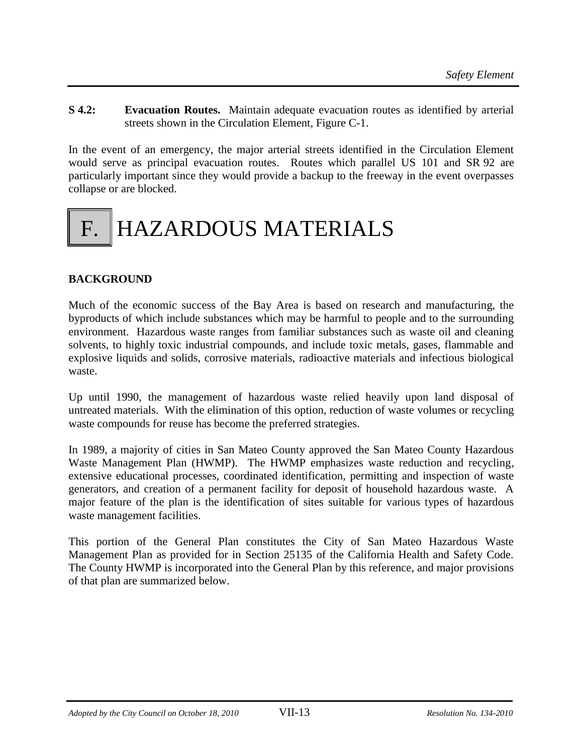**S 4.2: Evacuation Routes.** Maintain adequate evacuation routes as identified by arterial streets shown in the Circulation Element, Figure C-1.

In the event of an emergency, the major arterial streets identified in the Circulation Element would serve as principal evacuation routes. Routes which parallel US 101 and SR 92 are particularly important since they would provide a backup to the freeway in the event overpasses collapse or are blocked.

# HAZARDOUS MATERIALS

# **BACKGROUND**

Much of the economic success of the Bay Area is based on research and manufacturing, the byproducts of which include substances which may be harmful to people and to the surrounding environment. Hazardous waste ranges from familiar substances such as waste oil and cleaning solvents, to highly toxic industrial compounds, and include toxic metals, gases, flammable and explosive liquids and solids, corrosive materials, radioactive materials and infectious biological waste.

Up until 1990, the management of hazardous waste relied heavily upon land disposal of untreated materials. With the elimination of this option, reduction of waste volumes or recycling waste compounds for reuse has become the preferred strategies.

In 1989, a majority of cities in San Mateo County approved the San Mateo County Hazardous Waste Management Plan (HWMP). The HWMP emphasizes waste reduction and recycling, extensive educational processes, coordinated identification, permitting and inspection of waste generators, and creation of a permanent facility for deposit of household hazardous waste. A major feature of the plan is the identification of sites suitable for various types of hazardous waste management facilities.

This portion of the General Plan constitutes the City of San Mateo Hazardous Waste Management Plan as provided for in Section 25135 of the California Health and Safety Code. The County HWMP is incorporated into the General Plan by this reference, and major provisions of that plan are summarized below.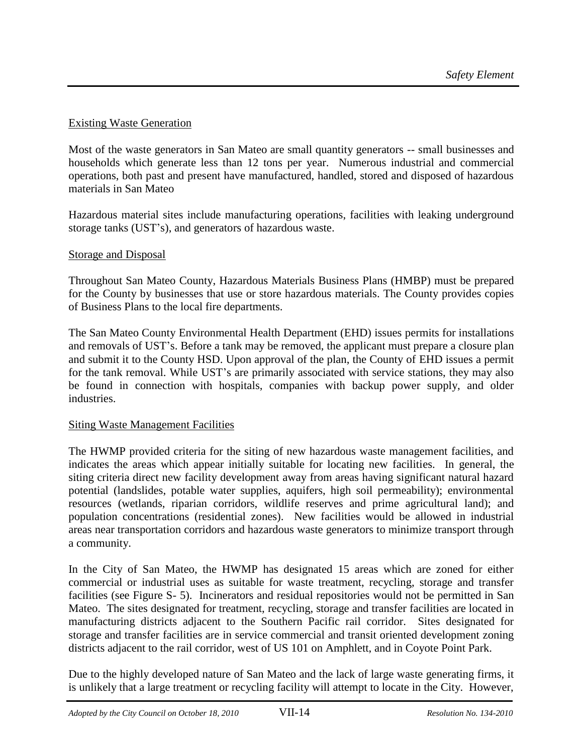## Existing Waste Generation

Most of the waste generators in San Mateo are small quantity generators -- small businesses and households which generate less than 12 tons per year. Numerous industrial and commercial operations, both past and present have manufactured, handled, stored and disposed of hazardous materials in San Mateo

Hazardous material sites include manufacturing operations, facilities with leaking underground storage tanks (UST's), and generators of hazardous waste.

#### Storage and Disposal

Throughout San Mateo County, Hazardous Materials Business Plans (HMBP) must be prepared for the County by businesses that use or store hazardous materials. The County provides copies of Business Plans to the local fire departments.

The San Mateo County Environmental Health Department (EHD) issues permits for installations and removals of UST's. Before a tank may be removed, the applicant must prepare a closure plan and submit it to the County HSD. Upon approval of the plan, the County of EHD issues a permit for the tank removal. While UST's are primarily associated with service stations, they may also be found in connection with hospitals, companies with backup power supply, and older industries.

#### Siting Waste Management Facilities

The HWMP provided criteria for the siting of new hazardous waste management facilities, and indicates the areas which appear initially suitable for locating new facilities. In general, the siting criteria direct new facility development away from areas having significant natural hazard potential (landslides, potable water supplies, aquifers, high soil permeability); environmental resources (wetlands, riparian corridors, wildlife reserves and prime agricultural land); and population concentrations (residential zones). New facilities would be allowed in industrial areas near transportation corridors and hazardous waste generators to minimize transport through a community.

In the City of San Mateo, the HWMP has designated 15 areas which are zoned for either commercial or industrial uses as suitable for waste treatment, recycling, storage and transfer facilities (see Figure S- 5). Incinerators and residual repositories would not be permitted in San Mateo. The sites designated for treatment, recycling, storage and transfer facilities are located in manufacturing districts adjacent to the Southern Pacific rail corridor. Sites designated for storage and transfer facilities are in service commercial and transit oriented development zoning districts adjacent to the rail corridor, west of US 101 on Amphlett, and in Coyote Point Park.

Due to the highly developed nature of San Mateo and the lack of large waste generating firms, it is unlikely that a large treatment or recycling facility will attempt to locate in the City. However,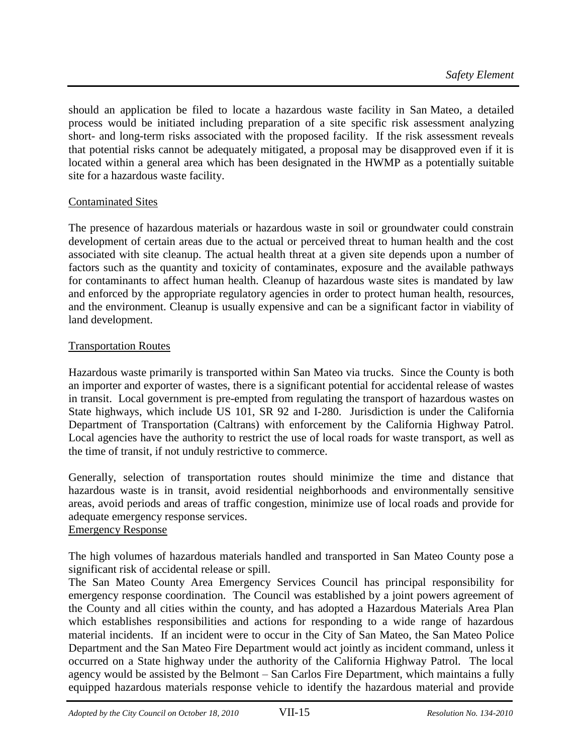should an application be filed to locate a hazardous waste facility in San Mateo, a detailed process would be initiated including preparation of a site specific risk assessment analyzing short- and long-term risks associated with the proposed facility. If the risk assessment reveals that potential risks cannot be adequately mitigated, a proposal may be disapproved even if it is located within a general area which has been designated in the HWMP as a potentially suitable site for a hazardous waste facility.

# Contaminated Sites

The presence of hazardous materials or hazardous waste in soil or groundwater could constrain development of certain areas due to the actual or perceived threat to human health and the cost associated with site cleanup. The actual health threat at a given site depends upon a number of factors such as the quantity and toxicity of contaminates, exposure and the available pathways for contaminants to affect human health. Cleanup of hazardous waste sites is mandated by law and enforced by the appropriate regulatory agencies in order to protect human health, resources, and the environment. Cleanup is usually expensive and can be a significant factor in viability of land development.

#### Transportation Routes

Hazardous waste primarily is transported within San Mateo via trucks. Since the County is both an importer and exporter of wastes, there is a significant potential for accidental release of wastes in transit. Local government is pre-empted from regulating the transport of hazardous wastes on State highways, which include US 101, SR 92 and I-280. Jurisdiction is under the California Department of Transportation (Caltrans) with enforcement by the California Highway Patrol. Local agencies have the authority to restrict the use of local roads for waste transport, as well as the time of transit, if not unduly restrictive to commerce.

Generally, selection of transportation routes should minimize the time and distance that hazardous waste is in transit, avoid residential neighborhoods and environmentally sensitive areas, avoid periods and areas of traffic congestion, minimize use of local roads and provide for adequate emergency response services.

## Emergency Response

The high volumes of hazardous materials handled and transported in San Mateo County pose a significant risk of accidental release or spill.

The San Mateo County Area Emergency Services Council has principal responsibility for emergency response coordination. The Council was established by a joint powers agreement of the County and all cities within the county, and has adopted a Hazardous Materials Area Plan which establishes responsibilities and actions for responding to a wide range of hazardous material incidents. If an incident were to occur in the City of San Mateo, the San Mateo Police Department and the San Mateo Fire Department would act jointly as incident command, unless it occurred on a State highway under the authority of the California Highway Patrol. The local agency would be assisted by the Belmont – San Carlos Fire Department, which maintains a fully equipped hazardous materials response vehicle to identify the hazardous material and provide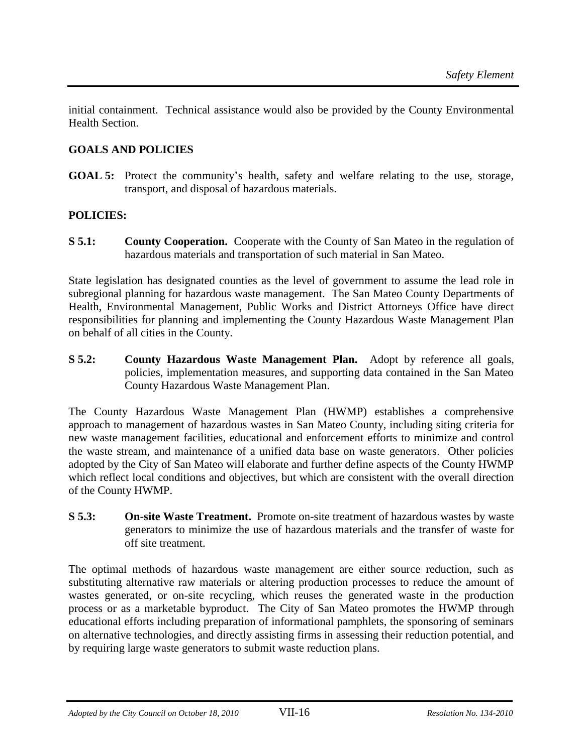initial containment. Technical assistance would also be provided by the County Environmental Health Section.

# **GOALS AND POLICIES**

**GOAL 5:** Protect the community's health, safety and welfare relating to the use, storage, transport, and disposal of hazardous materials.

# **POLICIES:**

**S 5.1: County Cooperation.** Cooperate with the County of San Mateo in the regulation of hazardous materials and transportation of such material in San Mateo.

State legislation has designated counties as the level of government to assume the lead role in subregional planning for hazardous waste management. The San Mateo County Departments of Health, Environmental Management, Public Works and District Attorneys Office have direct responsibilities for planning and implementing the County Hazardous Waste Management Plan on behalf of all cities in the County.

**S 5.2: County Hazardous Waste Management Plan.** Adopt by reference all goals, policies, implementation measures, and supporting data contained in the San Mateo County Hazardous Waste Management Plan.

The County Hazardous Waste Management Plan (HWMP) establishes a comprehensive approach to management of hazardous wastes in San Mateo County, including siting criteria for new waste management facilities, educational and enforcement efforts to minimize and control the waste stream, and maintenance of a unified data base on waste generators. Other policies adopted by the City of San Mateo will elaborate and further define aspects of the County HWMP which reflect local conditions and objectives, but which are consistent with the overall direction of the County HWMP.

**S 5.3: On-site Waste Treatment.** Promote on-site treatment of hazardous wastes by waste generators to minimize the use of hazardous materials and the transfer of waste for off site treatment.

The optimal methods of hazardous waste management are either source reduction, such as substituting alternative raw materials or altering production processes to reduce the amount of wastes generated, or on-site recycling, which reuses the generated waste in the production process or as a marketable byproduct. The City of San Mateo promotes the HWMP through educational efforts including preparation of informational pamphlets, the sponsoring of seminars on alternative technologies, and directly assisting firms in assessing their reduction potential, and by requiring large waste generators to submit waste reduction plans.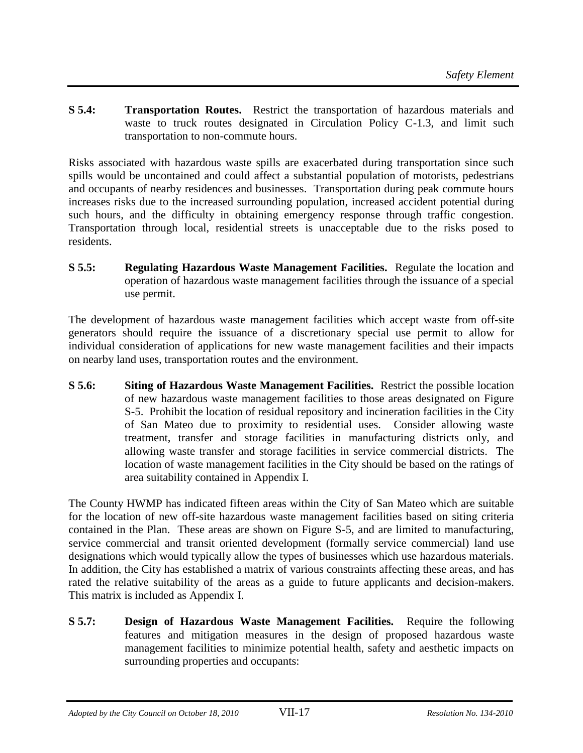**S 5.4: Transportation Routes.** Restrict the transportation of hazardous materials and waste to truck routes designated in Circulation Policy C-1.3, and limit such transportation to non-commute hours.

Risks associated with hazardous waste spills are exacerbated during transportation since such spills would be uncontained and could affect a substantial population of motorists, pedestrians and occupants of nearby residences and businesses. Transportation during peak commute hours increases risks due to the increased surrounding population, increased accident potential during such hours, and the difficulty in obtaining emergency response through traffic congestion. Transportation through local, residential streets is unacceptable due to the risks posed to residents.

**S 5.5: Regulating Hazardous Waste Management Facilities.** Regulate the location and operation of hazardous waste management facilities through the issuance of a special use permit.

The development of hazardous waste management facilities which accept waste from off-site generators should require the issuance of a discretionary special use permit to allow for individual consideration of applications for new waste management facilities and their impacts on nearby land uses, transportation routes and the environment.

**S 5.6: Siting of Hazardous Waste Management Facilities.** Restrict the possible location of new hazardous waste management facilities to those areas designated on Figure S-5. Prohibit the location of residual repository and incineration facilities in the City of San Mateo due to proximity to residential uses. Consider allowing waste treatment, transfer and storage facilities in manufacturing districts only, and allowing waste transfer and storage facilities in service commercial districts. The location of waste management facilities in the City should be based on the ratings of area suitability contained in Appendix I.

The County HWMP has indicated fifteen areas within the City of San Mateo which are suitable for the location of new off-site hazardous waste management facilities based on siting criteria contained in the Plan. These areas are shown on Figure S-5, and are limited to manufacturing, service commercial and transit oriented development (formally service commercial) land use designations which would typically allow the types of businesses which use hazardous materials. In addition, the City has established a matrix of various constraints affecting these areas, and has rated the relative suitability of the areas as a guide to future applicants and decision-makers. This matrix is included as Appendix I.

**S 5.7: Design of Hazardous Waste Management Facilities.** Require the following features and mitigation measures in the design of proposed hazardous waste management facilities to minimize potential health, safety and aesthetic impacts on surrounding properties and occupants: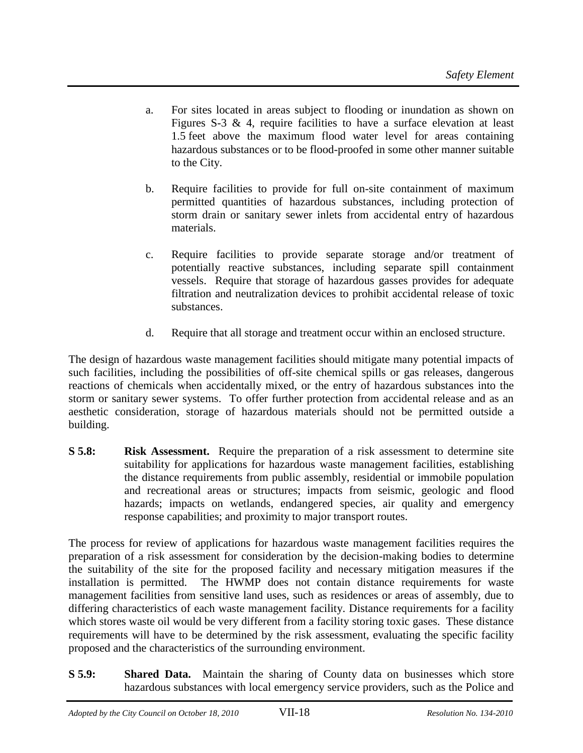- a. For sites located in areas subject to flooding or inundation as shown on Figures S-3  $\&$  4, require facilities to have a surface elevation at least 1.5 feet above the maximum flood water level for areas containing hazardous substances or to be flood-proofed in some other manner suitable to the City.
- b. Require facilities to provide for full on-site containment of maximum permitted quantities of hazardous substances, including protection of storm drain or sanitary sewer inlets from accidental entry of hazardous materials.
- c. Require facilities to provide separate storage and/or treatment of potentially reactive substances, including separate spill containment vessels. Require that storage of hazardous gasses provides for adequate filtration and neutralization devices to prohibit accidental release of toxic substances.
- d. Require that all storage and treatment occur within an enclosed structure.

The design of hazardous waste management facilities should mitigate many potential impacts of such facilities, including the possibilities of off-site chemical spills or gas releases, dangerous reactions of chemicals when accidentally mixed, or the entry of hazardous substances into the storm or sanitary sewer systems. To offer further protection from accidental release and as an aesthetic consideration, storage of hazardous materials should not be permitted outside a building.

**S 5.8: Risk Assessment.** Require the preparation of a risk assessment to determine site suitability for applications for hazardous waste management facilities, establishing the distance requirements from public assembly, residential or immobile population and recreational areas or structures; impacts from seismic, geologic and flood hazards; impacts on wetlands, endangered species, air quality and emergency response capabilities; and proximity to major transport routes.

The process for review of applications for hazardous waste management facilities requires the preparation of a risk assessment for consideration by the decision-making bodies to determine the suitability of the site for the proposed facility and necessary mitigation measures if the installation is permitted. The HWMP does not contain distance requirements for waste management facilities from sensitive land uses, such as residences or areas of assembly, due to differing characteristics of each waste management facility. Distance requirements for a facility which stores waste oil would be very different from a facility storing toxic gases. These distance requirements will have to be determined by the risk assessment, evaluating the specific facility proposed and the characteristics of the surrounding environment.

**S 5.9: Shared Data.** Maintain the sharing of County data on businesses which store hazardous substances with local emergency service providers, such as the Police and